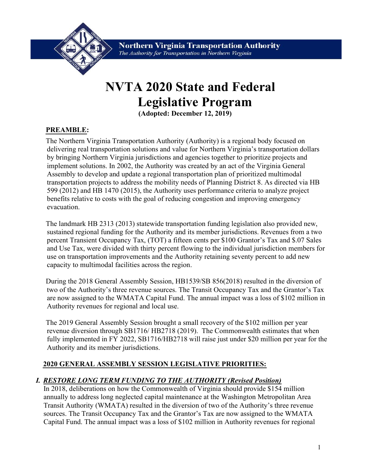

**Northern Virginia Transportation Authority** The Authority for Transportation in Northern Virginia

# NVTA 2020 State and Federal Legislative Program

(Adopted: **December 12, 2019**)

## PREAMBLE:

The Northern Virginia Transportation Authority (Authority) is a regional body focused on delivering real transportation solutions and value for Northern Virginia's transportation dollars by bringing Northern Virginia jurisdictions and agencies together to prioritize projects and implement solutions. In 2002, the Authority was created by an act of the Virginia General Assembly to develop and update a regional transportation plan of prioritized multimodal transportation projects to address the mobility needs of Planning District 8. As directed via HB 599 (2012) and HB 1470 (2015), the Authority uses performance criteria to analyze project benefits relative to costs with the goal of reducing congestion and improving emergency evacuation.

The landmark HB 2313 (2013) statewide transportation funding legislation also provided new, sustained regional funding for the Authority and its member jurisdictions. Revenues from a two percent Transient Occupancy Tax, (TOT) a fifteen cents per \$100 Grantor's Tax and \$.07 Sales and Use Tax, were divided with thirty percent flowing to the individual jurisdiction members for use on transportation improvements and the Authority retaining seventy percent to add new capacity to multimodal facilities across the region.

During the 2018 General Assembly Session, HB1539/SB 856(2018) resulted in the diversion of two of the Authority's three revenue sources. The Transit Occupancy Tax and the Grantor's Tax are now assigned to the WMATA Capital Fund. The annual impact was a loss of \$102 million in Authority revenues for regional and local use.

The 2019 General Assembly Session brought a small recovery of the \$102 million per year revenue diversion through SB1716/ HB2718 (2019). The Commonwealth estimates that when fully implemented in FY 2022, SB1716/HB2718 will raise just under \$20 million per year for the Authority and its member jurisdictions.

#### 2020 GENERAL ASSEMBLY SESSION LEGISLATIVE PRIORITIES:

## I. RESTORE LONG TERM FUNDING TO THE AUTHORITY (Revised Position)

In 2018, deliberations on how the Commonwealth of Virginia should provide \$154 million annually to address long neglected capital maintenance at the Washington Metropolitan Area Transit Authority (WMATA) resulted in the diversion of two of the Authority's three revenue sources. The Transit Occupancy Tax and the Grantor's Tax are now assigned to the WMATA Capital Fund. The annual impact was a loss of \$102 million in Authority revenues for regional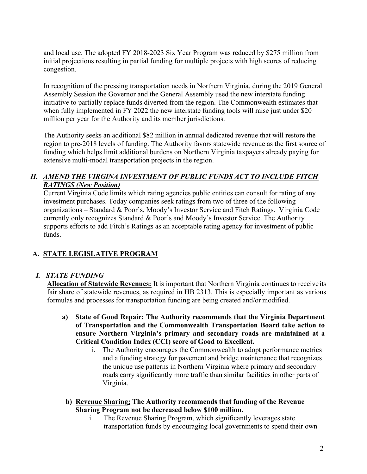and local use. The adopted FY 2018-2023 Six Year Program was reduced by \$275 million from initial projections resulting in partial funding for multiple projects with high scores of reducing congestion.

In recognition of the pressing transportation needs in Northern Virginia, during the 2019 General Assembly Session the Governor and the General Assembly used the new interstate funding initiative to partially replace funds diverted from the region. The Commonwealth estimates that when fully implemented in FY 2022 the new interstate funding tools will raise just under \$20 million per year for the Authority and its member jurisdictions.

The Authority seeks an additional \$82 million in annual dedicated revenue that will restore the region to pre-2018 levels of funding. The Authority favors statewide revenue as the first source of funding which helps limit additional burdens on Northern Virginia taxpayers already paying for extensive multi-modal transportation projects in the region.

#### II. AMEND THE VIRGINA INVESTMENT OF PUBLIC FUNDS ACT TO INCLUDE FITCH RATINGS (New Position)

Current Virginia Code limits which rating agencies public entities can consult for rating of any investment purchases. Today companies seek ratings from two of three of the following organizations – Standard & Poor's, Moody's Investor Service and Fitch Ratings. Virginia Code currently only recognizes Standard & Poor's and Moody's Investor Service. The Authority supports efforts to add Fitch's Ratings as an acceptable rating agency for investment of public funds.

# A. STATE LEGISLATIVE PROGRAM

## I. STATE FUNDING

Allocation of Statewide Revenues: It is important that Northern Virginia continues to receive its fair share of statewide revenues, as required in HB 2313. This is especially important as various formulas and processes for transportation funding are being created and/or modified.

- a) State of Good Repair: The Authority recommends that the Virginia Department of Transportation and the Commonwealth Transportation Board take action to ensure Northern Virginia's primary and secondary roads are maintained at a Critical Condition Index (CCI) score of Good to Excellent.
	- i. The Authority encourages the Commonwealth to adopt performance metrics and a funding strategy for pavement and bridge maintenance that recognizes the unique use patterns in Northern Virginia where primary and secondary roads carry significantly more traffic than similar facilities in other parts of Virginia.
	- b) Revenue Sharing: The Authority recommends that funding of the Revenue Sharing Program not be decreased below \$100 million.
		- i. The Revenue Sharing Program, which significantly leverages state transportation funds by encouraging local governments to spend their own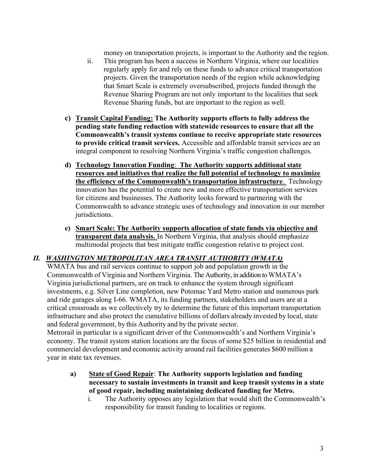money on transportation projects, is important to the Authority and the region.

- ii. This program has been a success in Northern Virginia, where our localities regularly apply for and rely on these funds to advance critical transportation projects. Given the transportation needs of the region while acknowledging that Smart Scale is extremely oversubscribed, projects funded through the Revenue Sharing Program are not only important to the localities that seek Revenue Sharing funds, but are important to the region as well.
- c) Transit Capital Funding: The Authority supports efforts to fully address the pending state funding reduction with statewide resources to ensure that all the Commonwealth's transit systems continue to receive appropriate state resources to provide critical transit services. Accessible and affordable transit services are an integral component to resolving Northern Virginia's traffic congestion challenges.
- d) Technology Innovation Funding: The Authority supports additional state resources and initiatives that realize the full potential of technology to maximize the efficiency of the Commonwealth's transportation infrastructure. Technology innovation has the potential to create new and more effective transportation services for citizens and businesses. The Authority looks forward to partnering with the Commonwealth to advance strategic uses of technology and innovation in our member jurisdictions.
- e) Smart Scale: The Authority supports allocation of state funds via objective and transparent data analysis. In Northern Virginia, that analysis should emphasize multimodal projects that best mitigate traffic congestion relative to project cost.

# II. WASHINGTON METROPOLITAN AREA TRANSIT AUTHORITY (WMATA)

WMATA bus and rail services continue to support job and population growth in the Commonwealth of Virginia and Northern Virginia. The Authority, in addition to WMATA's Virginia jurisdictional partners, are on track to enhance the system through significant investments, e.g. Silver Line completion, new Potomac Yard Metro station and numerous park and ride garages along I-66. WMATA, its funding partners, stakeholders and users are at a critical crossroads as we collectively try to determine the future of this important transportation infrastructure and also protect the cumulative billions of dollars already invested by local, state and federal government, by this Authority and by the private sector.

Metrorail in particular is a significant driver of the Commonwealth's and Northern Virginia's economy. The transit system station locations are the focus of some \$25 billion in residential and commercial development and economic activity around rail facilities generates \$600 million a year in state tax revenues.

- a) State of Good Repair: The Authority supports legislation and funding necessary to sustain investments in transit and keep transit systems in a state of good repair, including maintaining dedicated funding for Metro.
	- i. The Authority opposes any legislation that would shift the Commonwealth's responsibility for transit funding to localities or regions.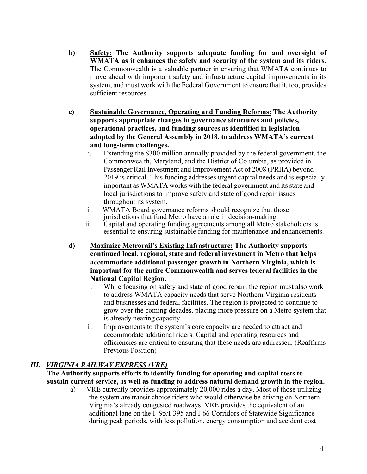- b) Safety: The Authority supports adequate funding for and oversight of WMATA as it enhances the safety and security of the system and its riders. The Commonwealth is a valuable partner in ensuring that WMATA continues to move ahead with important safety and infrastructure capital improvements in its system, and must work with the Federal Government to ensure that it, too, provides sufficient resources.
- c) Sustainable Governance, Operating and Funding Reforms: The Authority supports appropriate changes in governance structures and policies, operational practices, and funding sources as identified in legislation adopted by the General Assembly in 2018, to address WMATA's current and long-term challenges.
	- i. Extending the \$300 million annually provided by the federal government, the Commonwealth, Maryland, and the District of Columbia, as provided in Passenger Rail Investment and Improvement Act of 2008 (PRIIA) beyond 2019 is critical. This funding addresses urgent capital needs and is especially important as WMATA works with the federal government and its state and local jurisdictions to improve safety and state of good repair issues throughout its system.
	- ii. WMATA Board governance reforms should recognize that those jurisdictions that fund Metro have a role in decision-making.
	- iii. Capital and operating funding agreements among all Metro stakeholders is essential to ensuring sustainable funding for maintenance and enhancements.
- d) Maximize Metrorail's Existing Infrastructure: The Authority supports continued local, regional, state and federal investment in Metro that helps accommodate additional passenger growth in Northern Virginia, which is important for the entire Commonwealth and serves federal facilities in the National Capital Region.
	- i. While focusing on safety and state of good repair, the region must also work to address WMATA capacity needs that serve Northern Virginia residents and businesses and federal facilities. The region is projected to continue to grow over the coming decades, placing more pressure on a Metro system that is already nearing capacity.
	- ii. Improvements to the system's core capacity are needed to attract and accommodate additional riders. Capital and operating resources and efficiencies are critical to ensuring that these needs are addressed. (Reaffirms Previous Position)

## III. VIRGINIA RAILWAY EXPRESS (VRE)

The Authority supports efforts to identify funding for operating and capital costs to sustain current service, as well as funding to address natural demand growth in the region.

a) VRE currently provides approximately 20,000 rides a day. Most of those utilizing the system are transit choice riders who would otherwise be driving on Northern Virginia's already congested roadways. VRE provides the equivalent of an additional lane on the I- 95/I-395 and I-66 Corridors of Statewide Significance during peak periods, with less pollution, energy consumption and accident cost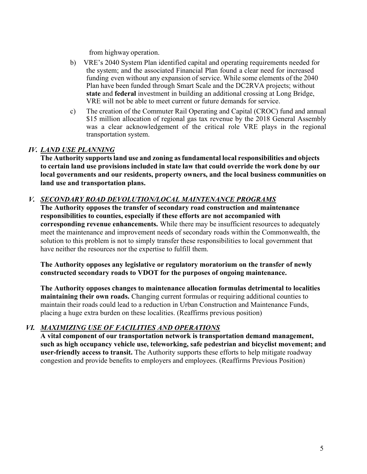from highway operation.

- b) VRE's 2040 System Plan identified capital and operating requirements needed for the system; and the associated Financial Plan found a clear need for increased funding even without any expansion of service. While some elements of the 2040 Plan have been funded through Smart Scale and the DC2RVA projects; without state and federal investment in building an additional crossing at Long Bridge, VRE will not be able to meet current or future demands for service.
- c) The creation of the Commuter Rail Operating and Capital (CROC) fund and annual \$15 million allocation of regional gas tax revenue by the 2018 General Assembly was a clear acknowledgement of the critical role VRE plays in the regional transportation system.

## IV. LAND USE PLANNING

The Authority supports land use and zoning as fundamental local responsibilities and objects to certain land use provisions included in state law that could override the work done by our local governments and our residents, property owners, and the local business communities on land use and transportation plans.

# V. SECONDARY ROAD DEVOLUTION/LOCAL MAINTENANCE PROGRAMS

The Authority opposes the transfer of secondary road construction and maintenance responsibilities to counties, especially if these efforts are not accompanied with corresponding revenue enhancements. While there may be insufficient resources to adequately meet the maintenance and improvement needs of secondary roads within the Commonwealth, the solution to this problem is not to simply transfer these responsibilities to local government that have neither the resources nor the expertise to fulfill them.

The Authority opposes any legislative or regulatory moratorium on the transfer of newly constructed secondary roads to VDOT for the purposes of ongoing maintenance.

The Authority opposes changes to maintenance allocation formulas detrimental to localities maintaining their own roads. Changing current formulas or requiring additional counties to maintain their roads could lead to a reduction in Urban Construction and Maintenance Funds, placing a huge extra burden on these localities. (Reaffirms previous position)

# VI. MAXIMIZING USE OF FACILITIES AND OPERATIONS

A vital component of our transportation network is transportation demand management, such as high occupancy vehicle use, teleworking, safe pedestrian and bicyclist movement; and user-friendly access to transit. The Authority supports these efforts to help mitigate roadway congestion and provide benefits to employers and employees. (Reaffirms Previous Position)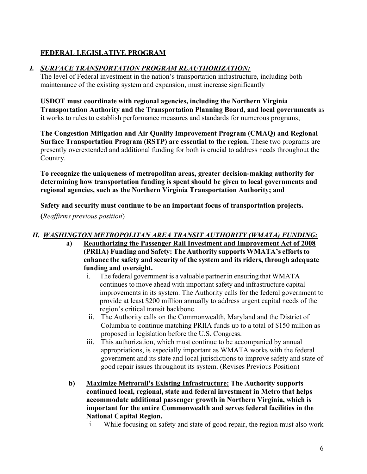# FEDERAL LEGISLATIVE PROGRAM

# I. SURFACE TRANSPORTATION PROGRAM REAUTHORIZATION:

The level of Federal investment in the nation's transportation infrastructure, including both maintenance of the existing system and expansion, must increase significantly

USDOT must coordinate with regional agencies, including the Northern Virginia Transportation Authority and the Transportation Planning Board, and local governments as it works to rules to establish performance measures and standards for numerous programs;

The Congestion Mitigation and Air Quality Improvement Program (CMAQ) and Regional Surface Transportation Program (RSTP) are essential to the region. These two programs are presently overextended and additional funding for both is crucial to address needs throughout the Country.

To recognize the uniqueness of metropolitan areas, greater decision-making authority for determining how transportation funding is spent should be given to local governments and regional agencies, such as the Northern Virginia Transportation Authority; and

Safety and security must continue to be an important focus of transportation projects.

(Reaffirms previous position)

# II. WASHINGTON METROPOLITAN AREA TRANSIT AUTHORITY (WMATA) FUNDING:

- a) Reauthorizing the Passenger Rail Investment and Improvement Act of 2008 (PRIIA) Funding and Safety: The Authority supports WMATA's efforts to enhance the safety and security of the system and its riders, through adequate funding and oversight.
	- i. The federal government is a valuable partner in ensuring that WMATA continues to move ahead with important safety and infrastructure capital improvements in its system. The Authority calls for the federal government to provide at least \$200 million annually to address urgent capital needs of the region's critical transit backbone.
	- ii. The Authority calls on the Commonwealth, Maryland and the District of Columbia to continue matching PRIIA funds up to a total of \$150 million as proposed in legislation before the U.S. Congress.
	- iii. This authorization, which must continue to be accompanied by annual appropriations, is especially important as WMATA works with the federal government and its state and local jurisdictions to improve safety and state of good repair issues throughout its system. (Revises Previous Position)
- b) Maximize Metrorail's Existing Infrastructure: The Authority supports continued local, regional, state and federal investment in Metro that helps accommodate additional passenger growth in Northern Virginia, which is important for the entire Commonwealth and serves federal facilities in the National Capital Region.
	- i. While focusing on safety and state of good repair, the region must also work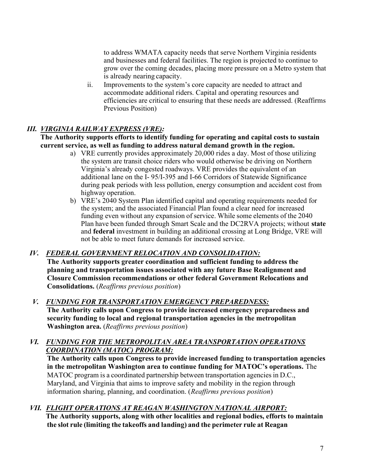to address WMATA capacity needs that serve Northern Virginia residents and businesses and federal facilities. The region is projected to continue to grow over the coming decades, placing more pressure on a Metro system that is already nearing capacity.

ii. Improvements to the system's core capacity are needed to attract and accommodate additional riders. Capital and operating resources and efficiencies are critical to ensuring that these needs are addressed. (Reaffirms Previous Position)

# III. VIRGINIA RAILWAY EXPRESS (VRE):

The Authority supports efforts to identify funding for operating and capital costs to sustain current service, as well as funding to address natural demand growth in the region.

- a) VRE currently provides approximately 20,000 rides a day. Most of those utilizing the system are transit choice riders who would otherwise be driving on Northern Virginia's already congested roadways. VRE provides the equivalent of an additional lane on the I- 95/I-395 and I-66 Corridors of Statewide Significance during peak periods with less pollution, energy consumption and accident cost from highway operation.
- b) VRE's 2040 System Plan identified capital and operating requirements needed for the system; and the associated Financial Plan found a clear need for increased funding even without any expansion of service. While some elements of the 2040 Plan have been funded through Smart Scale and the DC2RVA projects; without state and federal investment in building an additional crossing at Long Bridge, VRE will not be able to meet future demands for increased service.

## IV. FEDERAL GOVERNMENT RELOCATION AND CONSOLIDATION:

The Authority supports greater coordination and sufficient funding to address the planning and transportation issues associated with any future Base Realignment and Closure Commission recommendations or other federal Government Relocations and Consolidations. (Reaffirms previous position)

#### V. FUNDING FOR TRANSPORTATION EMERGENCY PREPAREDNESS: The Authority calls upon Congress to provide increased emergency preparedness and security funding to local and regional transportation agencies in the metropolitan Washington area. (Reaffirms previous position)

## VI. FUNDING FOR THE METROPOLITAN AREA TRANSPORTATION OPERATIONS COORDINATION (MATOC) PROGRAM:

The Authority calls upon Congress to provide increased funding to transportation agencies in the metropolitan Washington area to continue funding for MATOC's operations. The MATOC program is a coordinated partnership between transportation agencies in D.C., Maryland, and Virginia that aims to improve safety and mobility in the region through information sharing, planning, and coordination. (Reaffirms previous position)

# VII. FLIGHT OPERATIONS AT REAGAN WASHINGTON NATIONAL AIRPORT:

The Authority supports, along with other localities and regional bodies, efforts to maintain the slot rule (limiting the takeoffs and landing) and the perimeter rule at Reagan